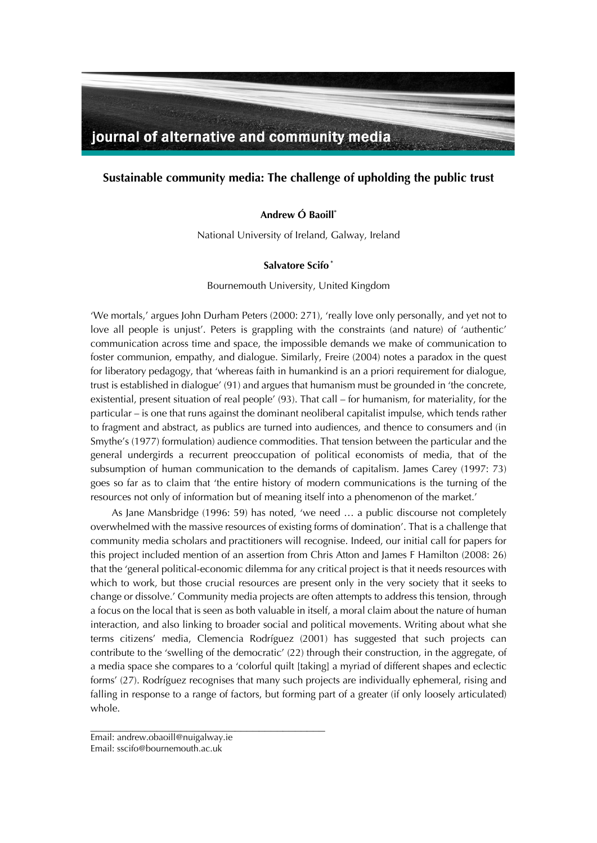

# **Sustainable community media: The challenge of upholding the public trust**

## **Andrew Ó Baoill\***

National University of Ireland, Galway, Ireland

## **Salvatore Scifo \***

#### Bournemouth University, United Kingdom

'We mortals,' argues John Durham Peters (2000: 271), 'really love only personally, and yet not to love all people is unjust'. Peters is grappling with the constraints (and nature) of 'authentic' communication across time and space, the impossible demands we make of communication to foster communion, empathy, and dialogue. Similarly, Freire (2004) notes a paradox in the quest for liberatory pedagogy, that 'whereas faith in humankind is an a priori requirement for dialogue, trust is established in dialogue' (91) and argues that humanism must be grounded in 'the concrete, existential, present situation of real people' (93). That call – for humanism, for materiality, for the particular – is one that runs against the dominant neoliberal capitalist impulse, which tends rather to fragment and abstract, as publics are turned into audiences, and thence to consumers and (in Smythe's (1977) formulation) audience commodities. That tension between the particular and the general undergirds a recurrent preoccupation of political economists of media, that of the subsumption of human communication to the demands of capitalism. James Carey (1997: 73) goes so far as to claim that 'the entire history of modern communications is the turning of the resources not only of information but of meaning itself into a phenomenon of the market.'

As Jane Mansbridge (1996: 59) has noted, 'we need … a public discourse not completely overwhelmed with the massive resources of existing forms of domination'. That is a challenge that community media scholars and practitioners will recognise. Indeed, our initial call for papers for this project included mention of an assertion from Chris Atton and James F Hamilton (2008: 26) that the 'general political-economic dilemma for any critical project is that it needs resources with which to work, but those crucial resources are present only in the very society that it seeks to change or dissolve.' Community media projects are often attempts to address this tension, through a focus on the local that is seen as both valuable in itself, a moral claim about the nature of human interaction, and also linking to broader social and political movements. Writing about what she terms citizens' media, Clemencia Rodríguez (2001) has suggested that such projects can contribute to the 'swelling of the democratic' (22) through their construction, in the aggregate, of a media space she compares to a 'colorful quilt [taking] a myriad of different shapes and eclectic forms' (27). Rodríguez recognises that many such projects are individually ephemeral, rising and falling in response to a range of factors, but forming part of a greater (if only loosely articulated) whole.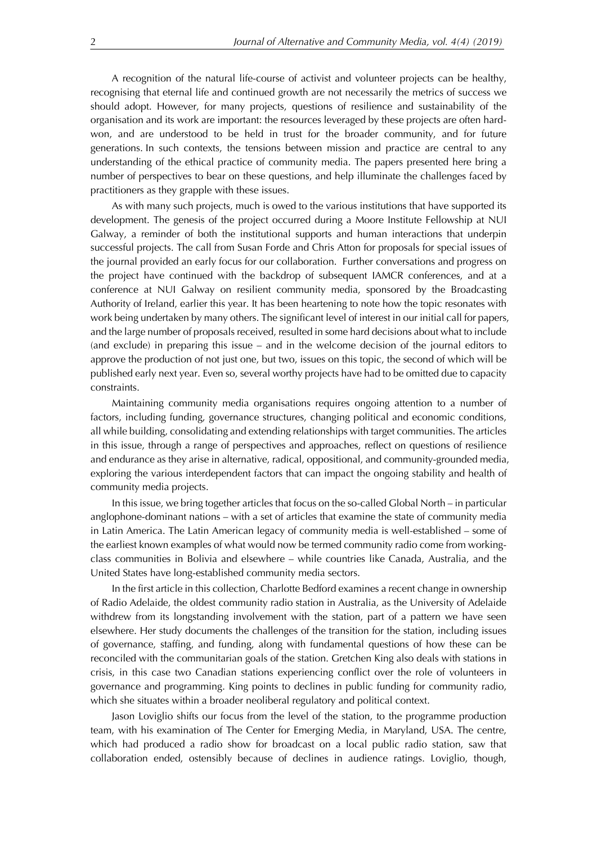A recognition of the natural life-course of activist and volunteer projects can be healthy, recognising that eternal life and continued growth are not necessarily the metrics of success we should adopt. However, for many projects, questions of resilience and sustainability of the organisation and its work are important: the resources leveraged by these projects are often hardwon, and are understood to be held in trust for the broader community, and for future generations. In such contexts, the tensions between mission and practice are central to any understanding of the ethical practice of community media. The papers presented here bring a number of perspectives to bear on these questions, and help illuminate the challenges faced by practitioners as they grapple with these issues.

As with many such projects, much is owed to the various institutions that have supported its development. The genesis of the project occurred during a Moore Institute Fellowship at NUI Galway, a reminder of both the institutional supports and human interactions that underpin successful projects. The call from Susan Forde and Chris Atton for proposals for special issues of the journal provided an early focus for our collaboration. Further conversations and progress on the project have continued with the backdrop of subsequent IAMCR conferences, and at a conference at NUI Galway on resilient community media, sponsored by the Broadcasting Authority of Ireland, earlier this year. It has been heartening to note how the topic resonates with work being undertaken by many others. The significant level of interest in our initial call for papers, and the large number of proposals received, resulted in some hard decisions about what to include (and exclude) in preparing this issue – and in the welcome decision of the journal editors to approve the production of not just one, but two, issues on this topic, the second of which will be published early next year. Even so, several worthy projects have had to be omitted due to capacity constraints.

Maintaining community media organisations requires ongoing attention to a number of factors, including funding, governance structures, changing political and economic conditions, all while building, consolidating and extending relationships with target communities. The articles in this issue, through a range of perspectives and approaches, reflect on questions of resilience and endurance as they arise in alternative, radical, oppositional, and community-grounded media, exploring the various interdependent factors that can impact the ongoing stability and health of community media projects.

In this issue, we bring together articles that focus on the so-called Global North – in particular anglophone-dominant nations – with a set of articles that examine the state of community media in Latin America. The Latin American legacy of community media is well-established – some of the earliest known examples of what would now be termed community radio come from workingclass communities in Bolivia and elsewhere – while countries like Canada, Australia, and the United States have long-established community media sectors.

In the first article in this collection, Charlotte Bedford examines a recent change in ownership of Radio Adelaide, the oldest community radio station in Australia, as the University of Adelaide withdrew from its longstanding involvement with the station, part of a pattern we have seen elsewhere. Her study documents the challenges of the transition for the station, including issues of governance, staffing, and funding, along with fundamental questions of how these can be reconciled with the communitarian goals of the station. Gretchen King also deals with stations in crisis, in this case two Canadian stations experiencing conflict over the role of volunteers in governance and programming. King points to declines in public funding for community radio, which she situates within a broader neoliberal regulatory and political context.

Jason Loviglio shifts our focus from the level of the station, to the programme production team, with his examination of The Center for Emerging Media, in Maryland, USA. The centre, which had produced a radio show for broadcast on a local public radio station, saw that collaboration ended, ostensibly because of declines in audience ratings. Loviglio, though,